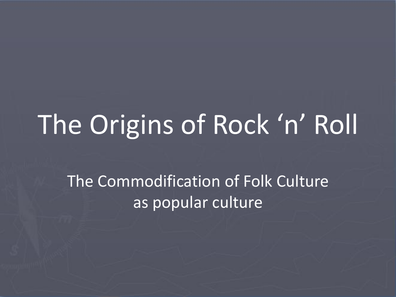# The Origins of Rock 'n' Roll

The Commodification of Folk Culture as popular culture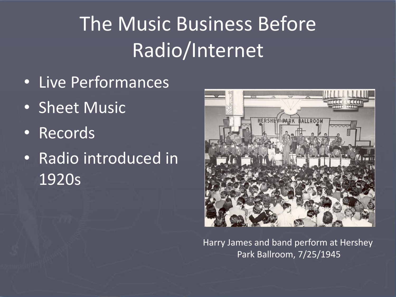### The Music Business Before Radio/Internet

- Live Performances
- Sheet Music
- Records
- Radio introduced in 1920s



Harry James and band perform at Hershey Park Ballroom, 7/25/1945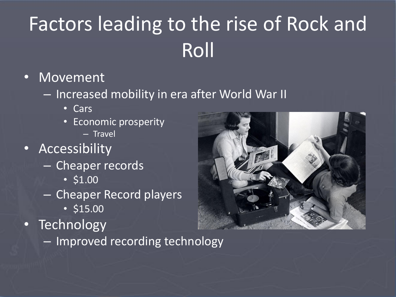## Factors leading to the rise of Rock and Roll

#### • Movement

- Increased mobility in era after World War II
	- Cars
	- Economic prosperity – Travel
- Accessibility
	- Cheaper records
		- \$1.00
	- Cheaper Record players
		- \$15.00
- Technology
	- Improved recording technology

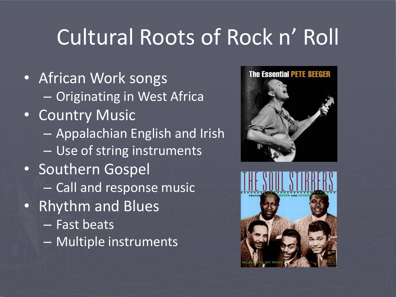### Cultural Roots of Rock n' Roll

- African Work songs – Originating in West Africa • Country Music – Appalachian English and Irish – Use of string instruments • Southern Gospel – Call and response music • Rhythm and Blues
	- Fast beats
	- Multiple instruments



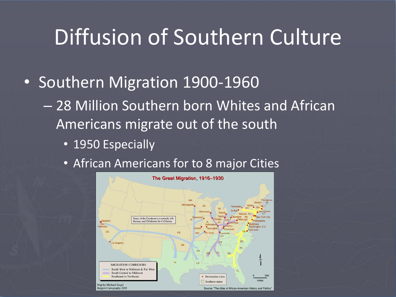#### Diffusion of Southern Culture

- Southern Migration 1900-1960
	- 28 Million Southern born Whites and African Americans migrate out of the south
		- 1950 Especially
		- African Americans for to 8 major Cities

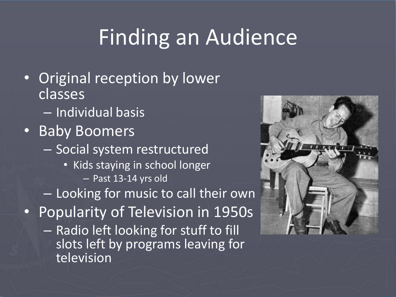## Finding an Audience

- Original reception by lower classes
	- Individual basis
- Baby Boomers
	- Social system restructured
		- Kids staying in school longer – Past 13-14 yrs old
	- Looking for music to call their own
- Popularity of Television in 1950s
	- Radio left looking for stuff to fill slots left by programs leaving for television

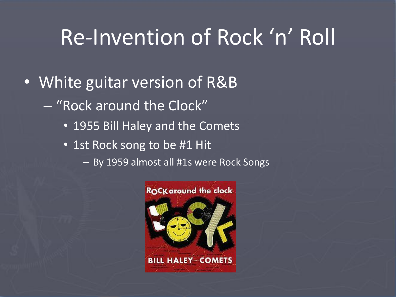#### Re-Invention of Rock 'n' Roll

- White guitar version of R&B
	- "Rock around the Clock"
		- 1955 Bill Haley and the Comets
		- 1st Rock song to be #1 Hit
			- By 1959 almost all #1s were Rock Songs

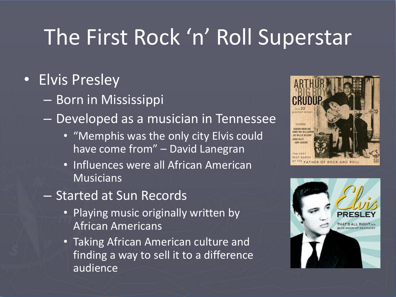#### The First Rock 'n' Roll Superstar

#### • Elvis Presley

- Born in Mississippi
- Developed as a musician in Tennessee
	- "Memphis was the only city Elvis could have come from" – David Lanegran
	- Influences were all African American **Musicians**
- Started at Sun Records
	- Playing music originally written by African Americans
	- Taking African American culture and finding a way to sell it to a difference audience



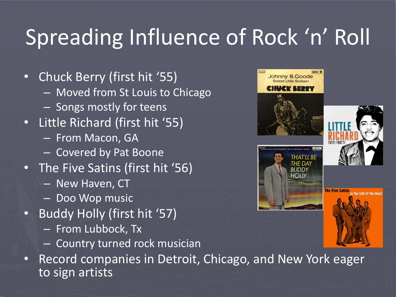# Spreading Influence of Rock 'n' Roll

- Chuck Berry (first hit '55)
	- Moved from St Louis to Chicago
	- Songs mostly for teens
- Little Richard (first hit '55)
	- From Macon, GA
	- Covered by Pat Boone
- The Five Satins (first hit '56)
	- New Haven, CT
	- Doo Wop music
- Buddy Holly (first hit '57)
	- From Lubbock, Tx
	- Country turned rock musician



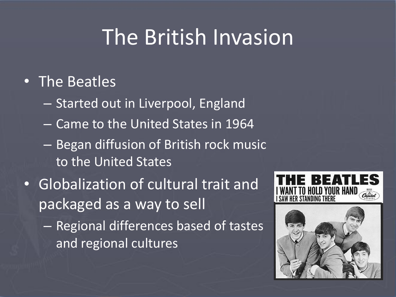#### The British Invasion

#### • The Beatles

- Started out in Liverpool, England
- Came to the United States in 1964
- Began diffusion of British rock music to the United States
- Globalization of cultural trait and packaged as a way to sell
	- Regional differences based of tastes and regional cultures



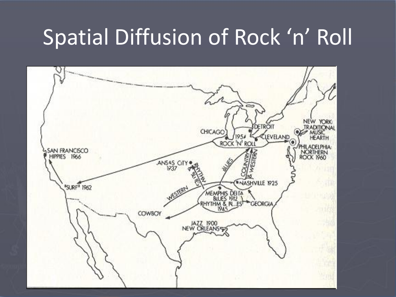#### Spatial Diffusion of Rock 'n' Roll

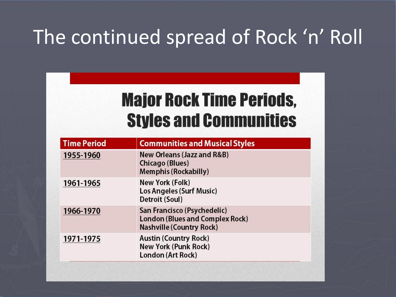#### The continued spread of Rock 'n' Roll

#### **Major Rock Time Periods, Styles and Communities**

| <b>Time Period</b> | <b>Communities and Musical Styles</b>                                                                    |
|--------------------|----------------------------------------------------------------------------------------------------------|
| 1955-1960          | <b>New Orleans (Jazz and R&amp;B)</b><br>Chicago (Blues)<br><b>Memphis (Rockabilly)</b>                  |
| 1961-1965          | New York (Folk)<br>Los Angeles (Surf Music)<br>Detroit (Soul)                                            |
| 1966-1970          | San Francisco (Psychedelic)<br><b>London (Blues and Complex Rock)</b><br><b>Nashville (Country Rock)</b> |
| 1971-1975          | <b>Austin (Country Rock)</b><br><b>New York (Punk Rock)</b><br>London (Art Rock)                         |